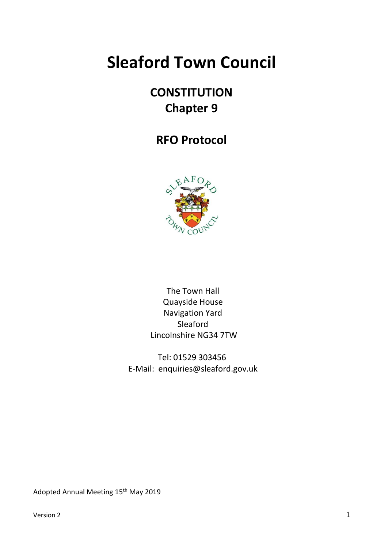# **Sleaford Town Council**

# **CONSTITUTION Chapter 9**

# **RFO Protocol**



The Town Hall Quayside House Navigation Yard Sleaford Lincolnshire NG34 7TW

Tel: 01529 303456 E-Mail: enquiries@sleaford.gov.uk

Adopted Annual Meeting 15<sup>th</sup> May 2019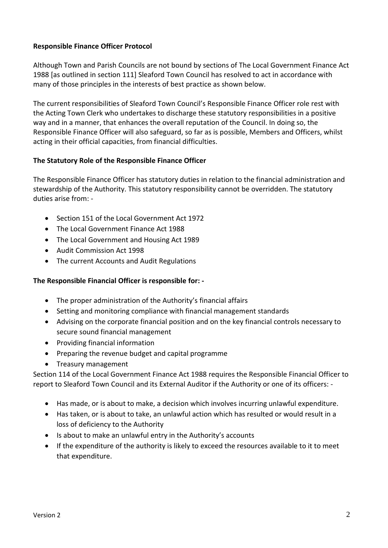# **Responsible Finance Officer Protocol**

Although Town and Parish Councils are not bound by sections of The Local Government Finance Act 1988 [as outlined in section 111] Sleaford Town Council has resolved to act in accordance with many of those principles in the interests of best practice as shown below.

The current responsibilities of Sleaford Town Council's Responsible Finance Officer role rest with the Acting Town Clerk who undertakes to discharge these statutory responsibilities in a positive way and in a manner, that enhances the overall reputation of the Council. In doing so, the Responsible Finance Officer will also safeguard, so far as is possible, Members and Officers, whilst acting in their official capacities, from financial difficulties.

#### **The Statutory Role of the Responsible Finance Officer**

The Responsible Finance Officer has statutory duties in relation to the financial administration and stewardship of the Authority. This statutory responsibility cannot be overridden. The statutory duties arise from: -

- Section 151 of the Local Government Act 1972
- The Local Government Finance Act 1988
- The Local Government and Housing Act 1989
- Audit Commission Act 1998
- The current Accounts and Audit Regulations

#### **The Responsible Financial Officer is responsible for: -**

- The proper administration of the Authority's financial affairs
- Setting and monitoring compliance with financial management standards
- Advising on the corporate financial position and on the key financial controls necessary to secure sound financial management
- Providing financial information
- Preparing the revenue budget and capital programme
- Treasury management

Section 114 of the Local Government Finance Act 1988 requires the Responsible Financial Officer to report to Sleaford Town Council and its External Auditor if the Authority or one of its officers: -

- Has made, or is about to make, a decision which involves incurring unlawful expenditure.
- Has taken, or is about to take, an unlawful action which has resulted or would result in a loss of deficiency to the Authority
- Is about to make an unlawful entry in the Authority's accounts
- If the expenditure of the authority is likely to exceed the resources available to it to meet that expenditure.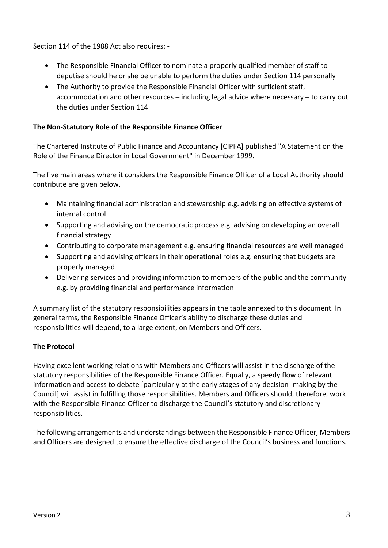Section 114 of the 1988 Act also requires: -

- The Responsible Financial Officer to nominate a properly qualified member of staff to deputise should he or she be unable to perform the duties under Section 114 personally
- The Authority to provide the Responsible Financial Officer with sufficient staff, accommodation and other resources – including legal advice where necessary – to carry out the duties under Section 114

# **The Non-Statutory Role of the Responsible Finance Officer**

The Chartered Institute of Public Finance and Accountancy [CIPFA] published "A Statement on the Role of the Finance Director in Local Government" in December 1999.

The five main areas where it considers the Responsible Finance Officer of a Local Authority should contribute are given below.

- Maintaining financial administration and stewardship e.g. advising on effective systems of internal control
- Supporting and advising on the democratic process e.g. advising on developing an overall financial strategy
- Contributing to corporate management e.g. ensuring financial resources are well managed
- Supporting and advising officers in their operational roles e.g. ensuring that budgets are properly managed
- Delivering services and providing information to members of the public and the community e.g. by providing financial and performance information

A summary list of the statutory responsibilities appears in the table annexed to this document. In general terms, the Responsible Finance Officer's ability to discharge these duties and responsibilities will depend, to a large extent, on Members and Officers.

#### **The Protocol**

Having excellent working relations with Members and Officers will assist in the discharge of the statutory responsibilities of the Responsible Finance Officer. Equally, a speedy flow of relevant information and access to debate [particularly at the early stages of any decision- making by the Council] will assist in fulfilling those responsibilities. Members and Officers should, therefore, work with the Responsible Finance Officer to discharge the Council's statutory and discretionary responsibilities.

The following arrangements and understandings between the Responsible Finance Officer, Members and Officers are designed to ensure the effective discharge of the Council's business and functions.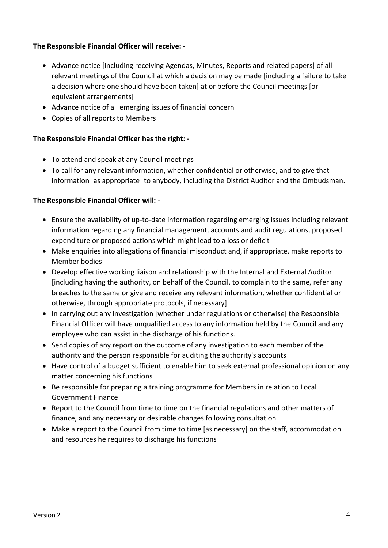# **The Responsible Financial Officer will receive: -**

- Advance notice [including receiving Agendas, Minutes, Reports and related papers] of all relevant meetings of the Council at which a decision may be made [including a failure to take a decision where one should have been taken] at or before the Council meetings [or equivalent arrangements]
- Advance notice of all emerging issues of financial concern
- Copies of all reports to Members

# **The Responsible Financial Officer has the right: -**

- To attend and speak at any Council meetings
- To call for any relevant information, whether confidential or otherwise, and to give that information [as appropriate] to anybody, including the District Auditor and the Ombudsman.

### **The Responsible Financial Officer will: -**

- Ensure the availability of up-to-date information regarding emerging issues including relevant information regarding any financial management, accounts and audit regulations, proposed expenditure or proposed actions which might lead to a loss or deficit
- Make enquiries into allegations of financial misconduct and, if appropriate, make reports to Member bodies
- Develop effective working liaison and relationship with the Internal and External Auditor [including having the authority, on behalf of the Council, to complain to the same, refer any breaches to the same or give and receive any relevant information, whether confidential or otherwise, through appropriate protocols, if necessary]
- In carrying out any investigation [whether under regulations or otherwise] the Responsible Financial Officer will have unqualified access to any information held by the Council and any employee who can assist in the discharge of his functions.
- Send copies of any report on the outcome of any investigation to each member of the authority and the person responsible for auditing the authority's accounts
- Have control of a budget sufficient to enable him to seek external professional opinion on any matter concerning his functions
- Be responsible for preparing a training programme for Members in relation to Local Government Finance
- Report to the Council from time to time on the financial regulations and other matters of finance, and any necessary or desirable changes following consultation
- Make a report to the Council from time to time [as necessary] on the staff, accommodation and resources he requires to discharge his functions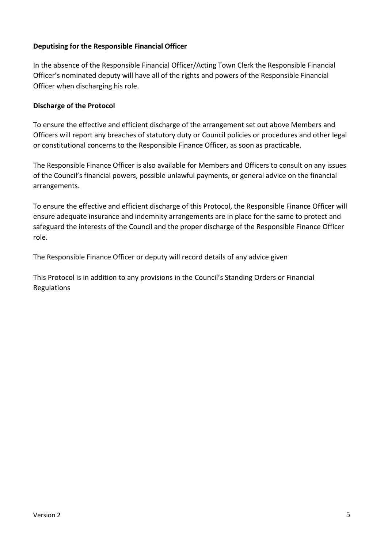# **Deputising for the Responsible Financial Officer**

In the absence of the Responsible Financial Officer/Acting Town Clerk the Responsible Financial Officer's nominated deputy will have all of the rights and powers of the Responsible Financial Officer when discharging his role.

#### **Discharge of the Protocol**

To ensure the effective and efficient discharge of the arrangement set out above Members and Officers will report any breaches of statutory duty or Council policies or procedures and other legal or constitutional concerns to the Responsible Finance Officer, as soon as practicable.

The Responsible Finance Officer is also available for Members and Officers to consult on any issues of the Council's financial powers, possible unlawful payments, or general advice on the financial arrangements.

To ensure the effective and efficient discharge of this Protocol, the Responsible Finance Officer will ensure adequate insurance and indemnity arrangements are in place for the same to protect and safeguard the interests of the Council and the proper discharge of the Responsible Finance Officer role.

The Responsible Finance Officer or deputy will record details of any advice given

This Protocol is in addition to any provisions in the Council's Standing Orders or Financial Regulations